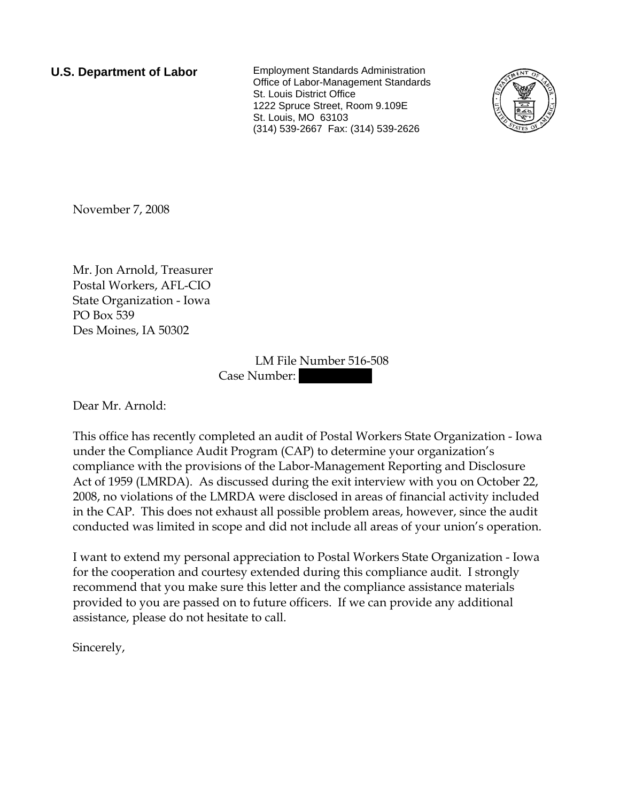**U.S. Department of Labor** Employment Standards Administration Office of Labor-Management Standards St. Louis District Office 1222 Spruce Street, Room 9.109E St. Louis, MO 63103 (314) 539-2667 Fax: (314) 539-2626



November 7, 2008

Mr. Jon Arnold, Treasurer Postal Workers, AFL-CIO State Organization - Iowa PO Box 539 Des Moines, IA 50302

> LM File Number 516-508 Case Number:

Dear Mr. Arnold:

This office has recently completed an audit of Postal Workers State Organization - Iowa under the Compliance Audit Program (CAP) to determine your organization's compliance with the provisions of the Labor-Management Reporting and Disclosure Act of 1959 (LMRDA). As discussed during the exit interview with you on October 22, 2008, no violations of the LMRDA were disclosed in areas of financial activity included in the CAP. This does not exhaust all possible problem areas, however, since the audit conducted was limited in scope and did not include all areas of your union's operation.

I want to extend my personal appreciation to Postal Workers State Organization - Iowa for the cooperation and courtesy extended during this compliance audit. I strongly recommend that you make sure this letter and the compliance assistance materials provided to you are passed on to future officers. If we can provide any additional assistance, please do not hesitate to call.

Sincerely,